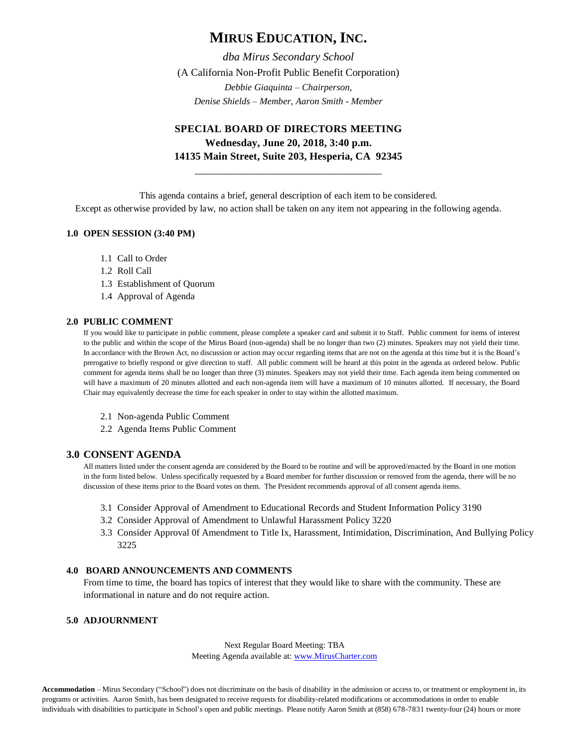# **MIRUS EDUCATION, INC.**

*dba Mirus Secondary School* (A California Non-Profit Public Benefit Corporation) *Debbie Giaquinta – Chairperson, Denise Shields – Member, Aaron Smith - Member*

## **SPECIAL BOARD OF DIRECTORS MEETING Wednesday, June 20, 2018, 3:40 p.m. 14135 Main Street, Suite 203, Hesperia, CA 92345**

\_\_\_\_\_\_\_\_\_\_\_\_\_\_\_\_\_\_\_\_\_\_\_\_\_\_\_\_\_\_\_\_\_\_\_\_

This agenda contains a brief, general description of each item to be considered. Except as otherwise provided by law, no action shall be taken on any item not appearing in the following agenda.

#### **1.0 OPEN SESSION (3:40 PM)**

- 1.1 Call to Order
- 1.2 Roll Call
- 1.3 Establishment of Quorum
- 1.4 Approval of Agenda

#### **2.0 PUBLIC COMMENT**

If you would like to participate in public comment, please complete a speaker card and submit it to Staff. Public comment for items of interest to the public and within the scope of the Mirus Board (non-agenda) shall be no longer than two (2) minutes. Speakers may not yield their time. In accordance with the Brown Act, no discussion or action may occur regarding items that are not on the agenda at this time but it is the Board's prerogative to briefly respond or give direction to staff. All public comment will be heard at this point in the agenda as ordered below. Public comment for agenda items shall be no longer than three (3) minutes. Speakers may not yield their time. Each agenda item being commented on will have a maximum of 20 minutes allotted and each non-agenda item will have a maximum of 10 minutes allotted. If necessary, the Board Chair may equivalently decrease the time for each speaker in order to stay within the allotted maximum.

- 2.1 Non-agenda Public Comment
- 2.2 Agenda Items Public Comment

#### **3.0 CONSENT AGENDA**

All matters listed under the consent agenda are considered by the Board to be routine and will be approved/enacted by the Board in one motion in the form listed below. Unless specifically requested by a Board member for further discussion or removed from the agenda, there will be no discussion of these items prior to the Board votes on them. The President recommends approval of all consent agenda items.

- 3.1 Consider Approval of Amendment to Educational Records and Student Information Policy 3190
- 3.2 Consider Approval of Amendment to Unlawful Harassment Policy 3220
- 3.3 Consider Approval 0f Amendment to Title Ix, Harassment, Intimidation, Discrimination, And Bullying Policy 3225

### **4.0 BOARD ANNOUNCEMENTS AND COMMENTS**

From time to time, the board has topics of interest that they would like to share with the community. These are informational in nature and do not require action.

### **5.0 ADJOURNMENT**

Next Regular Board Meeting: TBA Meeting Agenda available at[: www.MirusCharter.com](http://www.miruscharter.com/)

**Accommodation** – Mirus Secondary ("School") does not discriminate on the basis of disability in the admission or access to, or treatment or employment in, its programs or activities. Aaron Smith, has been designated to receive requests for disability-related modifications or accommodations in order to enable individuals with disabilities to participate in School's open and public meetings. Please notify Aaron Smith at (858) 678-7831 twenty-four (24) hours or more